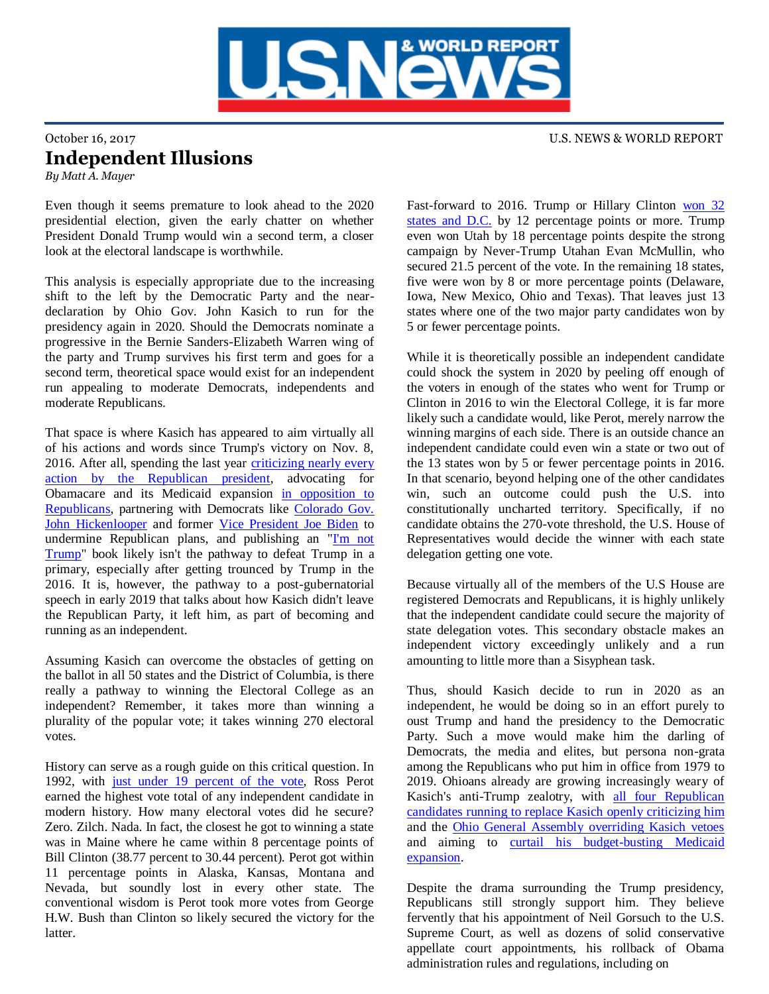

## October 16, 2017 U.S. NEWS & WORLD REPORT Independent Illusions *By Matt A. Mayer*

Even though it seems premature to look ahead to the 2020 presidential election, given the early chatter on whether President Donald Trump would win a second term, a closer look at the electoral landscape is worthwhile.

This analysis is especially appropriate due to the increasing shift to the left by the Democratic Party and the neardeclaration by Ohio Gov. John Kasich to run for the presidency again in 2020. Should the Democrats nominate a progressive in the Bernie Sanders-Elizabeth Warren wing of the party and Trump survives his first term and goes for a second term, theoretical space would exist for an independent run appealing to moderate Democrats, independents and moderate Republicans.

That space is where Kasich has appeared to aim virtually all of his actions and words since Trump's victory on Nov. 8, 2016. After all, spending the last year [criticizing nearly every](https://twitter.com/JohnKasich)  [action by the Republican president,](https://twitter.com/JohnKasich) advocating for Obamacare and its Medicaid expansion [in opposition to](http://thehill.com/policy/healthcare/342026-kasich-opposes-revised-senate-obamacare-repeal)  [Republicans,](http://thehill.com/policy/healthcare/342026-kasich-opposes-revised-senate-obamacare-repeal) partnering with Democrats like [Colorado Gov.](http://thehill.com/policy/healthcare/348287-kasich-hickenlooper-reach-deal-on-obamacare-plan)  [John Hickenlooper](http://thehill.com/policy/healthcare/348287-kasich-hickenlooper-reach-deal-on-obamacare-plan) and former [Vice President Joe Biden](http://thehill.com/blogs/blog-briefing-room/353683-kasich-to-join-biden-for-discussion-on-bridging-the-political-divide) to undermine Republican plans, and publishing an "I'm not [Trump"](https://www.washingtonpost.com/news/post-politics/wp/2017/01/31/kasich-to-publish-two-paths-a-book-offering-a-contrast-to-trumps-america/?utm_term=.3f6e7a0defcd) book likely isn't the pathway to defeat Trump in a primary, especially after getting trounced by Trump in the 2016. It is, however, the pathway to a post-gubernatorial speech in early 2019 that talks about how Kasich didn't leave the Republican Party, it left him, as part of becoming and running as an independent.

Assuming Kasich can overcome the obstacles of getting on the ballot in all 50 states and the District of Columbia, is there really a pathway to winning the Electoral College as an independent? Remember, it takes more than winning a plurality of the popular vote; it takes winning 270 electoral votes.

History can serve as a rough guide on this critical question. In 1992, with [just under 19 percent of the vote,](https://en.wikipedia.org/wiki/United_States_presidential_election,_1992) Ross Perot earned the highest vote total of any independent candidate in modern history. How many electoral votes did he secure? Zero. Zilch. Nada. In fact, the closest he got to winning a state was in Maine where he came within 8 percentage points of Bill Clinton (38.77 percent to 30.44 percent). Perot got within 11 percentage points in Alaska, Kansas, Montana and Nevada, but soundly lost in every other state. The conventional wisdom is Perot took more votes from George H.W. Bush than Clinton so likely secured the victory for the latter.

Fast-forward to 2016. Trump or Hillary Clinton [won 32](https://en.wikipedia.org/wiki/United_States_presidential_election,_2016)  [states and D.C.](https://en.wikipedia.org/wiki/United_States_presidential_election,_2016) by 12 percentage points or more. Trump even won Utah by 18 percentage points despite the strong campaign by Never-Trump Utahan Evan McMullin, who secured 21.5 percent of the vote. In the remaining 18 states, five were won by 8 or more percentage points (Delaware, Iowa, New Mexico, Ohio and Texas). That leaves just 13 states where one of the two major party candidates won by 5 or fewer percentage points.

While it is theoretically possible an independent candidate could shock the system in 2020 by peeling off enough of the voters in enough of the states who went for Trump or Clinton in 2016 to win the Electoral College, it is far more likely such a candidate would, like Perot, merely narrow the winning margins of each side. There is an outside chance an independent candidate could even win a state or two out of the 13 states won by 5 or fewer percentage points in 2016. In that scenario, beyond helping one of the other candidates win, such an outcome could push the U.S. into constitutionally uncharted territory. Specifically, if no candidate obtains the 270-vote threshold, the U.S. House of Representatives would decide the winner with each state delegation getting one vote.

Because virtually all of the members of the U.S House are registered Democrats and Republicans, it is highly unlikely that the independent candidate could secure the majority of state delegation votes. This secondary obstacle makes an independent victory exceedingly unlikely and a run amounting to little more than a Sisyphean task.

Thus, should Kasich decide to run in 2020 as an independent, he would be doing so in an effort purely to oust Trump and hand the presidency to the Democratic Party. Such a move would make him the darling of Democrats, the media and elites, but persona non-grata among the Republicans who put him in office from 1979 to 2019. Ohioans already are growing increasingly weary of Kasich's anti-Trump zealotry, with all four Republican [candidates running to replace Kasich openly criticizing him](http://www.cleveland.com/open/index.ssf/2017/10/john_kasich_comes_under_fire_f.html) and the [Ohio General Assembly overriding Kasich vetoes](http://www.dispatch.com/news/20170823/senate-overrides-six-kasich-vetoes-more-possible-on-horizon) and aiming to [curtail his budget-busting Medicaid](http://www.the-review.com/article/20171009/NEWS/310099832)  [expansion.](http://www.the-review.com/article/20171009/NEWS/310099832)

Despite the drama surrounding the Trump presidency, Republicans still strongly support him. They believe fervently that his appointment of Neil Gorsuch to the U.S. Supreme Court, as well as dozens of solid conservative appellate court appointments, his rollback of Obama administration rules and regulations, including on